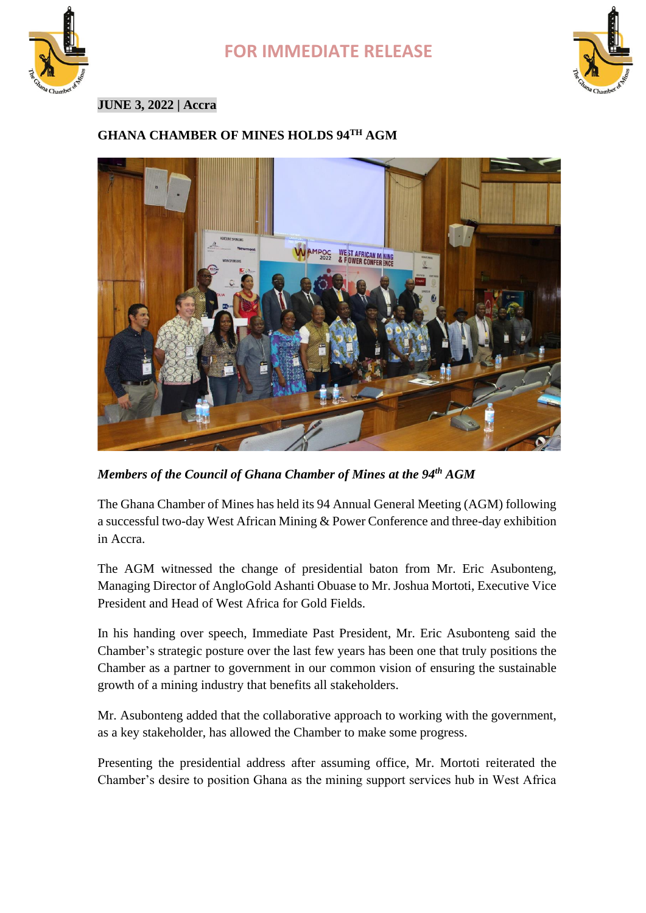





### **JUNE 3, 2022 | Accra**

## **GHANA CHAMBER OF MINES HOLDS 94TH AGM**



*Members of the Council of Ghana Chamber of Mines at the 94th AGM*

The Ghana Chamber of Mines has held its 94 Annual General Meeting (AGM) following a successful two-day West African Mining & Power Conference and three-day exhibition in Accra.

The AGM witnessed the change of presidential baton from Mr. Eric Asubonteng, Managing Director of AngloGold Ashanti Obuase to Mr. Joshua Mortoti, Executive Vice President and Head of West Africa for Gold Fields.

In his handing over speech, Immediate Past President, Mr. Eric Asubonteng said the Chamber's strategic posture over the last few years has been one that truly positions the Chamber as a partner to government in our common vision of ensuring the sustainable growth of a mining industry that benefits all stakeholders.

Mr. Asubonteng added that the collaborative approach to working with the government, as a key stakeholder, has allowed the Chamber to make some progress.

Presenting the presidential address after assuming office, Mr. Mortoti reiterated the Chamber's desire to position Ghana as the mining support services hub in West Africa